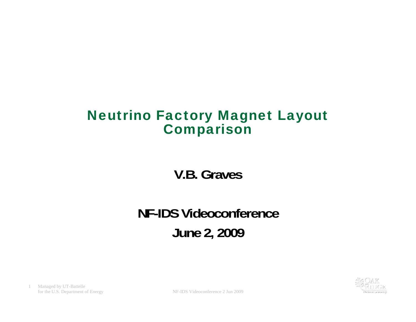#### Neutrino Factory Magnet Layout **Comparison**

**V.B. Graves**

## **NF-IDS VideoconferenceJune 2, 2009**

1 Managed by UT-Battelle

for the U.S. Department of Energy NF-IDS Videoconference 2 Jun 2009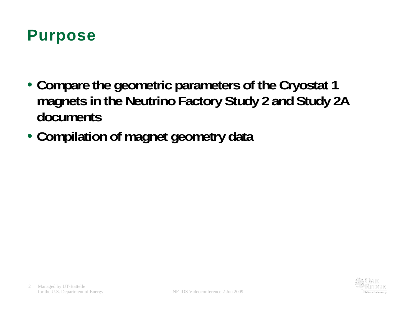### Purpose

- **Compare the geometric parameters of the Cryostat 1 magnets in the Neutrino Factory Study 2 and Study 2A documents**
- **Compilation of magnet geometry data**

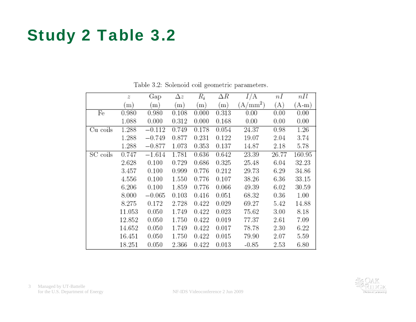## Study 2 Table 3.2

|          | z      | Gap       | $\Delta z$ | $R_i$ | $_{\Delta R}$ | I/A        | nI        | nIl    |
|----------|--------|-----------|------------|-------|---------------|------------|-----------|--------|
|          | m)     | $\rm (m)$ | $\rm (m)$  | (m)   | (m)           | $(A/mm^2)$ | (A)       | (A-m)  |
| Fe       | 0.980  | 0.980     | 0.108      | 0.000 | 0.313         | 0.00       | 0.00      | 0.00   |
|          | 1.088  | 0.000     | 0.312      | 0.000 | 0.168         | 0.00       | 0.00      | 0.00   |
| Cu coils | 1.288  | $-0.112$  | 0.749      | 0.178 | 0.054         | 24.37      | 0.98      | 1.26   |
|          | 1.288  | $-0.749$  | 0.877      | 0.231 | 0.122         | 19.07      | 2.04      | 3.74   |
|          | 1.288  | $-0.877$  | 1.073      | 0.353 | 0.137         | 14.87      | 2.18      | 5.78   |
| SC coils | 0.747  | $-1.614$  | 1.781      | 0.636 | 0.642         | 23.39      | 26.77     | 160.95 |
|          | 2.628  | 0.100     | 0.729      | 0.686 | 0.325         | 25.48      | 6.04      | 32.23  |
|          | 3.457  | 0.100     | 0.999      | 0.776 | 0.212         | 29.73      | 6.29      | 34.86  |
|          | 4.556  | 0.100     | 1.550      | 0.776 | 0.107         | 38.26      | 6.36      | 33.15  |
|          | 6.206  | 0.100     | 1.859      | 0.776 | 0.066         | 49.39      | 6.02      | 30.59  |
|          | 8.000  | $-0.065$  | 0.103      | 0.416 | 0.051         | 68.32      | $_{0.36}$ | 1.00   |
|          | 8.275  | 0.172     | 2.728      | 0.422 | 0.029         | 69.27      | 5.42      | 14.88  |
|          | 11.053 | 0.050     | 1.749      | 0.422 | 0.023         | 75.62      | 3.00      | 8.18   |
|          | 12.852 | 0.050     | 1.750      | 0.422 | 0.019         | 77.37      | 2.61      | 7.09   |
|          | 14.652 | 0.050     | 1.749      | 0.422 | 0.017         | 78.78      | 2.30      | 6.22   |
|          | 16.451 | 0.050     | 1.750      | 0.422 | 0.015         | 79.90      | 2.07      | 5.59   |
|          | 18.251 | 0.050     | 2.366      | 0.422 | 0.013         | $-0.85$    | 2.53      | 6.80   |

Table 3.2: Solenoid coil geometric parameters.

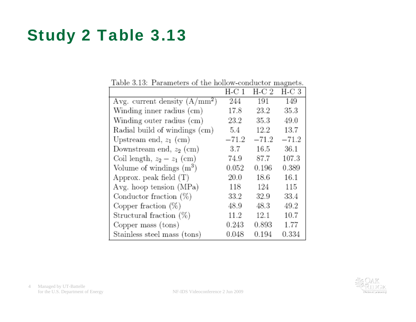# Study 2 Table 3.13

|                                 | H-C 1   | H-C 2   | H-C 3   |
|---------------------------------|---------|---------|---------|
| Avg. current density $(A/mm^2)$ | 244     | 191     | 149     |
| Winding inner radius (cm)       | 17.8    | 23.2    | 35.3    |
| Winding outer radius (cm)       | 23.2    | 35.3    | 49.0    |
| Radial build of windings (cm)   | 5.4     | 12.2    | 13.7    |
| Upstream end, $z_1$ (cm)        | $-71.2$ | $-71.2$ | $-71.2$ |
| Downstream end, $z_2$ (cm)      | 3.7     | 16.5    | 36.1    |
| Coil length, $z_2 - z_1$ (cm)   | 74.9    | 87.7    | 107.3   |
| Volume of windings $(m^3)$      | 0.052   | 0.196   | 0.389   |
| Approx. peak field $(T)$        | 20.0    | 18.6    | 16.1    |
| Avg. hoop tension (MPa)         | 118     | 124     | 115     |
| Conductor fraction $(\%)$       | 33.2    | 32.9    | 33.4    |
| Copper fraction $(\%)$          | 48.9    | 48.3    | 49.2    |
| Structural fraction $(\%)$      | 11.2    | 12.1    | 10.7    |
| Copper mass (tons)              | 0.243   | 0.893   | 1.77    |
| Stainless steel mass (tons)     | 0.048   | 0.194   | 0.334   |

Table 3.13: Parameters of the hollow-conductor magnets.

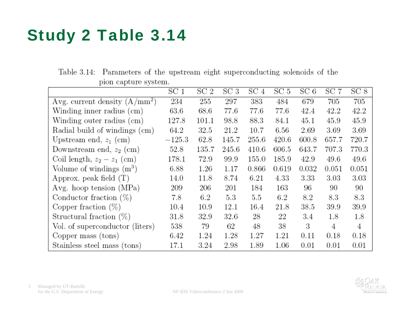# Study 2 Table 3.14

|                                 | SC <sub>1</sub> | SC <sub>2</sub> | SC <sub>3</sub> | SC <sub>4</sub> | SC 5     | SC6   | SC 7  | SC <sub>8</sub> |
|---------------------------------|-----------------|-----------------|-----------------|-----------------|----------|-------|-------|-----------------|
| Avg. current density $(A/mm^2)$ | 234             | 255             | 297             | 383             | 484      | 679   | 705   | 705             |
| Winding inner radius (cm)       | 63.6            | 68.6            | 77.6            | 77.6            | 77.6     | 42.4  | 42.2  | 42.2            |
| Winding outer radius (cm)       | 127.8           | 101.1           | 98.8            | 88.3            | 84.1     | 45.1  | 45.9  | 45.9            |
| Radial build of windings (cm)   | 64.2            | 32.5            | 21.2            | 10.7            | $6.56\,$ | 2.69  | 3.69  | 3.69            |
| Upstream end, $z_1$ (cm)        | $-125.3$        | 62.8            | 145.7           | 255.6           | 420.6    | 600.8 | 657.7 | 720.7           |
| Downstream end, $z_2$ (cm)      | 52.8            | 135.7           | 245.6           | 410.6           | 606.5    | 643.7 | 707.3 | 770.3           |
| Coil length, $z_2 - z_1$ (cm)   | 178.1           | 72.9            | 99.9            | 155.0           | 185.9    | 42.9  | 49.6  | 49.6            |
| Volume of windings $(m^3)$      | 6.88            | 1.26            | 1.17            | 0.866           | 0.619    | 0.032 | 0.051 | 0.051           |
| Approx. peak field $(T)$        | 14.0            | 11.8            | 8.74            | 6.21            | 4.33     | 3.33  | 3.03  | 3.03            |
| Avg. hoop tension $(MPa)$       | 209             | 206             | 201             | 184             | 163      | 96    | 90    | 90              |
| Conductor fraction $(\%)$       | 7.8             | 6.2             | 5.3             | $5.5\,$         | 6.2      | 8.2   | 8.3   | 8.3             |
| Copper fraction $(\%)$          | 10.4            | 10.9            | 12.1            | 16.4            | 21.8     | 38.5  | 39.9  | 39.9            |
| Structural fraction $(\%)$      | 31.8            | 32.9            | 32.6            | 28              | 22       | 3.4   | 1.8   | 1.8             |
| Vol. of superconductor (liters) | 538             | 79              | 62              | 48              | 38       | 3     | 4     | 4               |
| Copper mass (tons)              | 6.42            | 1.24            | 1.28            | 1.27            | 1.21     | 0.11  | 0.18  | 0.18            |
| Stainless steel mass (tons)     | 17.1            | 3.24            | 2.98            | 1.89            | 1.06     | 0.01  | 0.01  | 0.01            |

Table 3.14: Parameters of the upstream eight superconducting solenoids of the pion capture system.

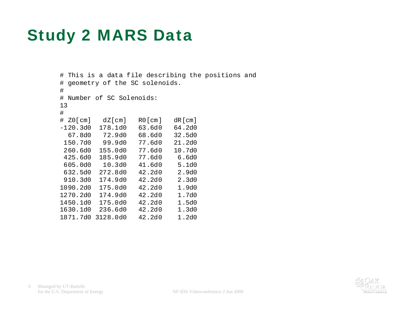## Study 2 MARS Data

```
# This is a data file describing the positions and 
# geometry of the SC solenoids. 
# 
# Number of SC Solenoids: 
13 # 
# Z0[cm] dZ[cm] R0[cm] dR[cm] 
-120.3d0 178.1d0 63.6d0 64.2d0  67.8d0 72.9d0 68.6d0 32.5d0  150.7d0 99.9d0 77.6d0 21.2d0 260.6d0 155.0d0 77.6d0
                        10.7d0
 425.6d0 185.9d0 77.6d0 6.6d0 605.0d0  10.3d0  41.6d0
                           5.1d0
632.5d0 272.8d0 42.2d0
                           2.9d0
910.3d0 174.9d0 42.2d0
                           2.3d0
1090.2d0 175.0d0 42.2d0 1.9d0 1270.2d0 174.9d0 42.2d0 1.7d0 1450.1d0 175.0d0 42.2d0 1.5d0 1630.1d0 236.6d0 42.2d0 1.3d0 1871.7d0 3128.0d0 42.2d0 1.2d0
```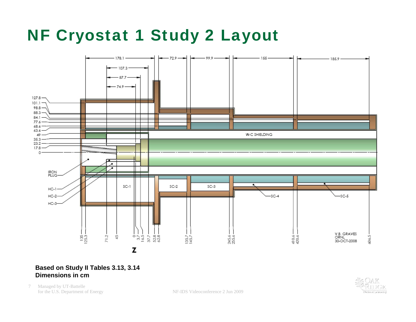# NF Cryostat 1 Study 2 Layout



#### **Based on Study II Tables 3.13, 3.14 Dimensions in cm**

7 Managed by UT-Battelle



for the U.S. Department of Energy NF-IDS Videoconference 2 Jun 2009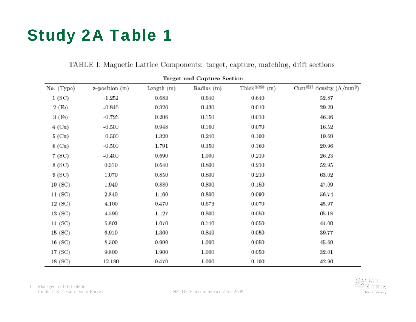# Study 2A Table 1

|                    |                            | ---------  |            |                             |                                        |  |  |  |  |  |  |  |  |
|--------------------|----------------------------|------------|------------|-----------------------------|----------------------------------------|--|--|--|--|--|--|--|--|
|                    | Target and Capture Section |            |            |                             |                                        |  |  |  |  |  |  |  |  |
| No. (Type)         | z-position (m)             | Length (m) | Radius (m) | Thick <sup>ness</sup> $(m)$ | Curr <sup>ent</sup> density $(A/mm^2)$ |  |  |  |  |  |  |  |  |
| 1(SC)              | $-1.252$                   | 0.683      | 0.640      | 0.640                       | 52.87                                  |  |  |  |  |  |  |  |  |
| 2(F <sub>e</sub> ) | $-0.846$                   | 0.326      | 0.430      | 0.010                       | 29.29                                  |  |  |  |  |  |  |  |  |
| 3 (Fe)             | $-0.726$                   | 0.206      | 0.150      | 0.010                       | 46.36                                  |  |  |  |  |  |  |  |  |
| $4$ (Cu)           | $-0.500$                   | 0.948      | 0.160      | 0.070                       | 16.52                                  |  |  |  |  |  |  |  |  |
| 5(Cu)              | $-0.500$                   | 1.320      | 0.240      | 0.100                       | 19.69                                  |  |  |  |  |  |  |  |  |
| $6$ (Cu)           | $-0.500$                   | 1.791      | 0.350      | 0.160                       | 20.96                                  |  |  |  |  |  |  |  |  |
| 7 (SC)             | $-0.400$                   | 0.690      | 1.000      | 0.210                       | 26.23                                  |  |  |  |  |  |  |  |  |
| 8 (SC)             | 0.310                      | 0.640      | 0.800      | 0.210                       | 52.95                                  |  |  |  |  |  |  |  |  |
| 9(SC)              | 1.070                      | 0.850      | 0.800      | 0.210                       | 63.02                                  |  |  |  |  |  |  |  |  |
| 10(SC)             | 1.940                      | 0.880      | 0.800      | 0.150                       | 47.09                                  |  |  |  |  |  |  |  |  |
| 11(SC)             | 2.840                      | 1.160      | 0.800      | 0.090                       | 56.74                                  |  |  |  |  |  |  |  |  |
| 12(SC)             | 4.100                      | 0.470      | 0.673      | 0.070                       | 45.97                                  |  |  |  |  |  |  |  |  |
| 13 (SC)            | 4.590                      | 1.127      | 0.800      | 0.050                       | 65.18                                  |  |  |  |  |  |  |  |  |
| 14 (SC)            | 5.803                      | 1.070      | 0.740      | 0.050                       | 44.00                                  |  |  |  |  |  |  |  |  |
| 15 (SC)            | 6.910                      | 1.360      | 0.849      | 0.050                       | 39.77                                  |  |  |  |  |  |  |  |  |
| 16(SC)             | 8.500                      | 0.990      | 1.000      | 0.050                       | 45.69                                  |  |  |  |  |  |  |  |  |
| 17(SC)             | 9.800                      | 1.900      | 1.000      | 0.050                       | 32.01                                  |  |  |  |  |  |  |  |  |
| 18 (SC)            | 12.180                     | 0.470      | 1.000      | 0.100                       | 42.96                                  |  |  |  |  |  |  |  |  |

TABLE I: Magnetic Lattice Components: target, capture, matching, drift sections

8 Managed by UT-Battelle for the U.S. Department of Energy NF-IDS Videoconference 2 Jun 2009

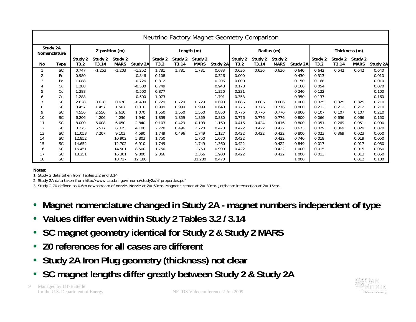| Neutrino Factory Magnet Geometry Comparison |           |                 |                  |                        |            |                 |                  |                        |          |                 |                  |                        |          |                 |                  |                        |          |
|---------------------------------------------|-----------|-----------------|------------------|------------------------|------------|-----------------|------------------|------------------------|----------|-----------------|------------------|------------------------|----------|-----------------|------------------|------------------------|----------|
| Study 2A<br><b>Nomenclature</b>             |           | Z-position (m)  |                  |                        | Length (m) |                 |                  | Radius (m)             |          |                 |                  | Thickness (m)          |          |                 |                  |                        |          |
| No.                                         | Type      | Study 2<br>T3.2 | Study 2<br>T3.14 | Study 2<br><b>MARS</b> | Study 2A   | Study 2<br>T3.2 | Study 2<br>T3.14 | Study 2<br><b>MARS</b> | Study 2A | Study 2<br>T3.2 | Study 2<br>T3.14 | Study 2<br><b>MARS</b> | Study 2A | Study 2<br>T3.2 | Study 2<br>T3.14 | Study 2<br><b>MARS</b> | Study 2A |
|                                             | <b>SC</b> | 0.747           | $-1.253$         | $-1.203$               | $-1.252$   | 1.781           | 1.781            | 1.781                  | 0.683    | 0.636           | 0.636            | 0.636                  | 0.640    | 0.642           | 0.642            | 0.642                  | 0.640    |
| $\overline{2}$                              | Fe        | 0.980           |                  |                        | $-0.846$   | 0.108           |                  |                        | 0.326    | 0.000           |                  |                        | 0.430    | 0.313           |                  |                        | 0.010    |
| 3                                           | Fe        | 1.088           |                  |                        | $-0.726$   | 0.312           |                  |                        | 0.206    | 0.000           |                  |                        | 0.150    | 0.168           |                  |                        | 0.010    |
|                                             | Cu        | 1.288           |                  |                        | $-0.500$   | 0.749           |                  |                        | 0.948    | 0.178           |                  |                        | 0.160    | 0.054           |                  |                        | 0.070    |
| 5                                           | Cu        | 1.288           |                  |                        | $-0.500$   | 0.877           |                  |                        | 1.320    | 0.231           |                  |                        | 0.240    | 0.122           |                  |                        | 0.100    |
| 6                                           | Cu        | 1.288           |                  |                        | $-0.500$   | 1.073           |                  |                        | 1.791    | 0.353           |                  |                        | 0.350    | 0.137           |                  |                        | 0.160    |
|                                             | <b>SC</b> | 2.628           | 0.628            | 0.678                  | $-0.400$   | 0.729           | 0.729            | 0.729                  | 0.690    | 0.686           | 0.686            | 0.686                  | 1.000    | 0.325           | 0.325            | 0.325                  | 0.210    |
| 8                                           | <b>SC</b> | 3.457           | 1.457            | 1.507                  | 0.310      | 0.999           | 0.999            | 0.999                  | 0.640    | 0.776           | 0.776            | 0.776                  | 0.800    | 0.212           | 0.212            | 0.212                  | 0.210    |
| 9                                           | <b>SC</b> | 4.556           | 2.556            | 2.610                  | 1.070      | 1.550           | 1.550            | 1.550                  | 0.850    | 0.776           | 0.776            | 0.776                  | 0.800    | 0.107           | 0.107            | 0.107                  | 0.210    |
| 10                                          | <b>SC</b> | 6.206           | 4.206            | 4.256                  | 1.940      | 1.859           | 1.859            | 1.859                  | 0.880    | 0.776           | 0.776            | 0.776                  | 0.800    | 0.066           | 0.656            | 0.066                  | 0.150    |
| 11                                          | <b>SC</b> | 8.000           | 6.008            | 6.050                  | 2.840      | 0.103           | 0.429            | 0.103                  | 1.160    | 0.416           | 0.424            | 0.416                  | 0.800    | 0.051           | 0.269            | 0.051                  | 0.090    |
| 12                                          | <b>SC</b> | 8.275           | 6.577            | 6.325                  | 4.100      | 2.728           | 0.496            | 2.728                  | 0.470    | 0.422           | 0.422            | 0.422                  | 0.673    | 0.029           | 0.369            | 0.029                  | 0.070    |
| 13                                          | <b>SC</b> | 11.053          | 7.207            | 9.103                  | 4.590      | 1.749           | 0.496            | 1.749                  | 1.127    | 0.422           | 0.422            | 0.422                  | 0.800    | 0.023           | 0.369            | 0.023                  | 0.050    |
| 14                                          | <b>SC</b> | 12.852          |                  | 10.902                 | 5.803      | 1.750           |                  | 1.750                  | 1.070    | 0.422           |                  | 0.422                  | 0.740    | 0.019           |                  | 0.019                  | 0.050    |
| 15                                          | <b>SC</b> | 14.652          |                  | 12.702                 | 6.910      | 1.749           |                  | 1.749                  | 1.360    | 0.422           |                  | 0.422                  | 0.849    | 0.017           |                  | 0.017                  | 0.050    |
| 16                                          | <b>SC</b> | 16.451          |                  | 14.501                 | 8.500      | 1.750           |                  | 1.750                  | 0.990    | 0.422           |                  | 0.422                  | 1.000    | 0.015           |                  | 0.015                  | 0.050    |
| 17                                          | <b>SC</b> | 18.251          |                  | 16.301                 | 9.800      | 2.366           |                  | 2.366                  | 1.900    | 0.422           |                  | 0.422                  | 1.000    | 0.013           |                  | 0.013                  | 0.050    |
| 18                                          | <b>SC</b> |                 |                  | 18.717                 | 12.180     |                 |                  | 31.280                 | 0.470    |                 |                  |                        | 1.000    |                 |                  | 0.012                  | 0.100    |

#### **Notes:**

1. Study 2 data taken from Tables 3.2 and 3.14

2. Study 2A data taken from http://www.cap.bnl.gov/mumu/study2a/rf-properties.pdf

3. Study 2 Z0 defined as 0.6m downstream of nozzle. Nozzle at Z=-60cm. Magnetic center at Z=-30cm. Jet/beam intersection at Z=-15cm.

- $\bullet$ **Magnet nomenclature changed in Study 2A - magnet numbers independent of type**
- **Values differ even within Study 2 Tables 3.2 / 3.14**
- **SC magnet geometry identical for Study 2 & Study 2 MARS**
- $\bullet$ **Z0 references for all cases are different**
- $\bullet$ **Study 2A Iron Plug geometry (thickness) not clear**
- **SC magnet lengths differ greatly between Study 2 & Study 2A**



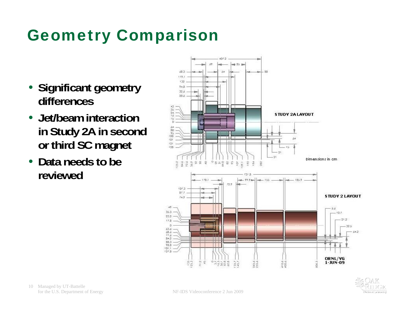# Geometry Comparison

- **Significant geometry differences**
- **Jet/beam interaction in Study 2A in second or third SC magnet**
- **Data needs to be reviewed**